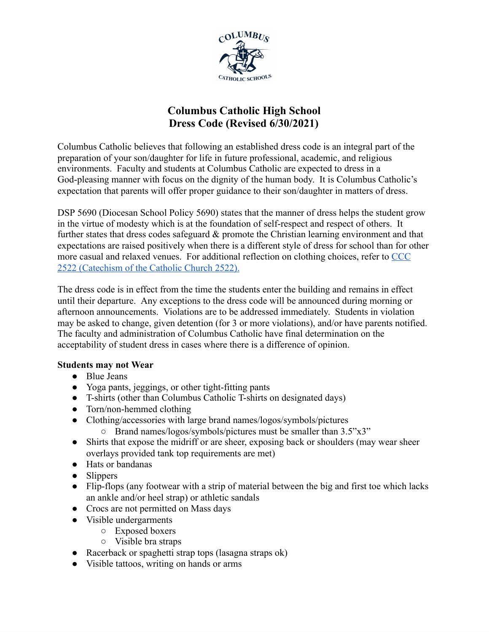

# **Columbus Catholic High School Dress Code (Revised 6/30/2021)**

Columbus Catholic believes that following an established dress code is an integral part of the preparation of your son/daughter for life in future professional, academic, and religious environments. Faculty and students at Columbus Catholic are expected to dress in a God-pleasing manner with focus on the dignity of the human body. It is Columbus Catholic's expectation that parents will offer proper guidance to their son/daughter in matters of dress.

DSP 5690 (Diocesan School Policy 5690) states that the manner of dress helps the student grow in the virtue of modesty which is at the foundation of self-respect and respect of others. It further states that dress codes safeguard & promote the Christian learning environment and that expectations are raised positively when there is a different style of dress for school than for other more casual and relaxed venues. For additional reflection on clothing choices, refer to [CCC](https://www.vatican.va/archive/ccc_css/archive/catechism/p3s2c2a9.htm) 2522 [\(Catechism](https://www.vatican.va/archive/ccc_css/archive/catechism/p3s2c2a9.htm) of the Catholic Church 2522).

The dress code is in effect from the time the students enter the building and remains in effect until their departure. Any exceptions to the dress code will be announced during morning or afternoon announcements. Violations are to be addressed immediately. Students in violation may be asked to change, given detention (for 3 or more violations), and/or have parents notified. The faculty and administration of Columbus Catholic have final determination on the acceptability of student dress in cases where there is a difference of opinion.

## **Students may not Wear**

- Blue Jeans
- Yoga pants, jeggings, or other tight-fitting pants
- T-shirts (other than Columbus Catholic T-shirts on designated days)
- Torn/non-hemmed clothing
- Clothing/accessories with large brand names/logos/symbols/pictures
	- Brand names/logos/symbols/pictures must be smaller than 3.5"x3"
- Shirts that expose the midriff or are sheer, exposing back or shoulders (may wear sheer overlays provided tank top requirements are met)
- Hats or bandanas
- Slippers
- Flip-flops (any footwear with a strip of material between the big and first toe which lacks an ankle and/or heel strap) or athletic sandals
- Crocs are not permitted on Mass days
- Visible undergarments
	- Exposed boxers
	- Visible bra straps
- Racerback or spaghetti strap tops (lasagna straps ok)
- Visible tattoos, writing on hands or arms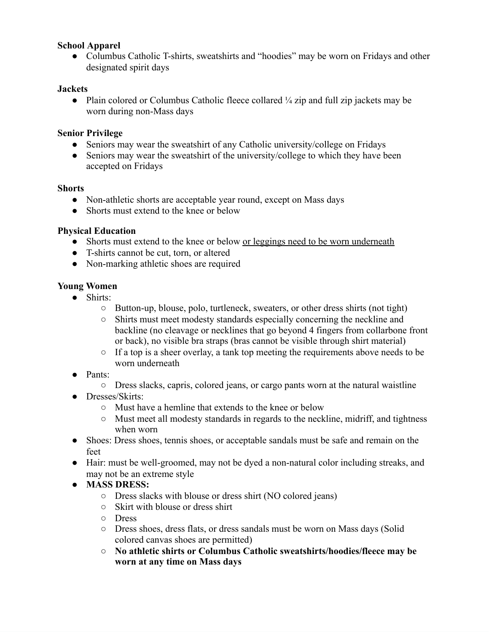## **School Apparel**

• Columbus Catholic T-shirts, sweatshirts and "hoodies" may be worn on Fridays and other designated spirit days

#### **Jackets**

• Plain colored or Columbus Catholic fleece collared ¼ zip and full zip jackets may be worn during non-Mass days

#### **Senior Privilege**

- Seniors may wear the sweatshirt of any Catholic university/college on Fridays
- Seniors may wear the sweatshirt of the university/college to which they have been accepted on Fridays

#### **Shorts**

- Non-athletic shorts are acceptable year round, except on Mass days
- Shorts must extend to the knee or below

#### **Physical Education**

- Shorts must extend to the knee or below or leggings need to be worn underneath
- T-shirts cannot be cut, torn, or altered
- Non-marking athletic shoes are required

#### **Young Women**

- Shirts:
	- Button-up, blouse, polo, turtleneck, sweaters, or other dress shirts (not tight)
	- Shirts must meet modesty standards especially concerning the neckline and backline (no cleavage or necklines that go beyond 4 fingers from collarbone front or back), no visible bra straps (bras cannot be visible through shirt material)
	- If a top is a sheer overlay, a tank top meeting the requirements above needs to be worn underneath
- Pants:
	- Dress slacks, capris, colored jeans, or cargo pants worn at the natural waistline
- Dresses/Skirts:
	- Must have a hemline that extends to the knee or below
	- Must meet all modesty standards in regards to the neckline, midriff, and tightness when worn
- Shoes: Dress shoes, tennis shoes, or acceptable sandals must be safe and remain on the feet
- Hair: must be well-groomed, may not be dyed a non-natural color including streaks, and may not be an extreme style
- **● MASS DRESS:**
	- Dress slacks with blouse or dress shirt (NO colored jeans)
	- Skirt with blouse or dress shirt
	- Dress
	- Dress shoes, dress flats, or dress sandals must be worn on Mass days (Solid colored canvas shoes are permitted)
	- **○ No athletic shirts or Columbus Catholic sweatshirts/hoodies/fleece may be worn at any time on Mass days**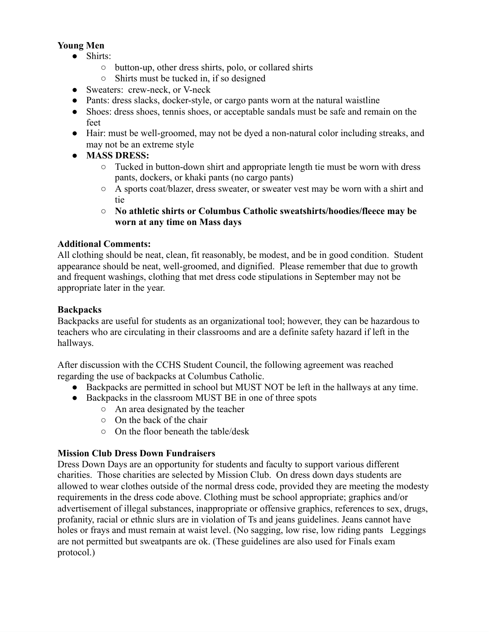# **Young Men**

- Shirts:
	- button-up, other dress shirts, polo, or collared shirts
	- Shirts must be tucked in, if so designed
- Sweaters: crew-neck, or V-neck
- Pants: dress slacks, docker-style, or cargo pants worn at the natural waistline
- Shoes: dress shoes, tennis shoes, or acceptable sandals must be safe and remain on the feet
- Hair: must be well-groomed, may not be dyed a non-natural color including streaks, and may not be an extreme style
- **● MASS DRESS:**
	- Tucked in button-down shirt and appropriate length tie must be worn with dress pants, dockers, or khaki pants (no cargo pants)
	- A sports coat/blazer, dress sweater, or sweater vest may be worn with a shirt and tie
	- **○ No athletic shirts or Columbus Catholic sweatshirts/hoodies/fleece may be worn at any time on Mass days**

# **Additional Comments:**

All clothing should be neat, clean, fit reasonably, be modest, and be in good condition. Student appearance should be neat, well-groomed, and dignified. Please remember that due to growth and frequent washings, clothing that met dress code stipulations in September may not be appropriate later in the year.

# **Backpacks**

Backpacks are useful for students as an organizational tool; however, they can be hazardous to teachers who are circulating in their classrooms and are a definite safety hazard if left in the hallways.

After discussion with the CCHS Student Council, the following agreement was reached regarding the use of backpacks at Columbus Catholic.

- Backpacks are permitted in school but MUST NOT be left in the hallways at any time.
- Backpacks in the classroom MUST BE in one of three spots
	- An area designated by the teacher
	- On the back of the chair
	- On the floor beneath the table/desk

## **Mission Club Dress Down Fundraisers**

Dress Down Days are an opportunity for students and faculty to support various different charities. Those charities are selected by Mission Club. On dress down days students are allowed to wear clothes outside of the normal dress code, provided they are meeting the modesty requirements in the dress code above. Clothing must be school appropriate; graphics and/or advertisement of illegal substances, inappropriate or offensive graphics, references to sex, drugs, profanity, racial or ethnic slurs are in violation of Ts and jeans guidelines. Jeans cannot have holes or frays and must remain at waist level. (No sagging, low rise, low riding pants Leggings are not permitted but sweatpants are ok. (These guidelines are also used for Finals exam protocol.)